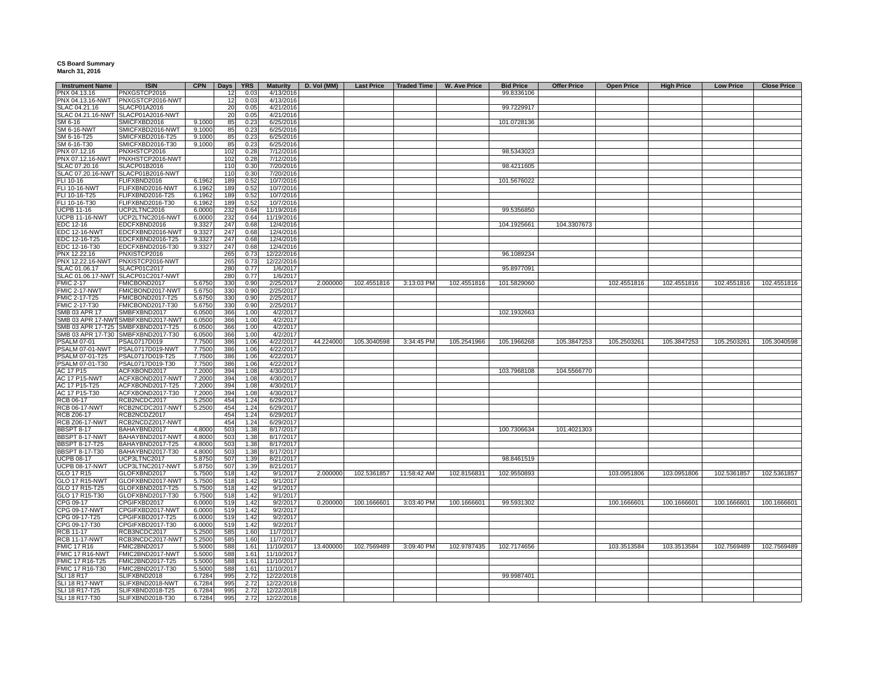## **CS Board Summary March 31, 2016**

| <b>Instrument Name</b> | <b>ISIN</b>                        | <b>CPN</b> | Days | <b>YRS</b> | <b>Maturity</b> | D. Vol (MM) | <b>Last Price</b> | Traded Time             | <b>W. Ave Price</b> | <b>Bid Price</b> | <b>Offer Price</b> | <b>Open Price</b> | <b>High Price</b> | <b>Low Price</b> | <b>Close Price</b> |
|------------------------|------------------------------------|------------|------|------------|-----------------|-------------|-------------------|-------------------------|---------------------|------------------|--------------------|-------------------|-------------------|------------------|--------------------|
| PNX 04.13.16           | PNXGSTCP2016                       |            | 12   | 0.03       | 4/13/2016       |             |                   |                         |                     | 99.8336106       |                    |                   |                   |                  |                    |
| PNX 04.13.16-NWT       | PNXGSTCP2016-NWT                   |            | 12   | 0.03       | 4/13/2016       |             |                   |                         |                     |                  |                    |                   |                   |                  |                    |
| SLAC 04.21.16          | SLACP01A2016                       |            | 20   | 0.05       | 4/21/2016       |             |                   |                         |                     | 99.7229917       |                    |                   |                   |                  |                    |
|                        | SLAC 04.21.16-NWT SLACP01A2016-NWT |            | 20   | 0.05       | 4/21/2016       |             |                   |                         |                     |                  |                    |                   |                   |                  |                    |
| SM 6-16                | SMICFXBD2016                       | 9.1000     | 85   | 0.23       | 6/25/2016       |             |                   |                         |                     | 101.0728136      |                    |                   |                   |                  |                    |
| <b>SM 6-16-NWT</b>     | SMICFXBD2016-NWT                   | 9.1000     | 85   | 0.23       | 6/25/2016       |             |                   |                         |                     |                  |                    |                   |                   |                  |                    |
|                        |                                    |            |      |            |                 |             |                   |                         |                     |                  |                    |                   |                   |                  |                    |
| SM 6-16-T25            | SMICFXBD2016-T25                   | 9.1000     | 85   | 0.23       | 6/25/2016       |             |                   |                         |                     |                  |                    |                   |                   |                  |                    |
| SM 6-16-T30            | SMICFXBD2016-T30                   | 9.1000     | 85   | 0.23       | 6/25/2016       |             |                   |                         |                     |                  |                    |                   |                   |                  |                    |
| PNX 07.12.16           | PNXHSTCP2016                       |            | 102  | 0.28       | 7/12/2016       |             |                   |                         |                     | 98.5343023       |                    |                   |                   |                  |                    |
| PNX 07.12.16-NWT       | PNXHSTCP2016-NWT                   |            | 102  | 0.28       | 7/12/2016       |             |                   |                         |                     |                  |                    |                   |                   |                  |                    |
| SLAC 07.20.16          | SLACP01B2016                       |            | 110  | 0.30       | 7/20/2016       |             |                   |                         |                     | 98.4211605       |                    |                   |                   |                  |                    |
|                        | SLAC 07.20.16-NWT SLACP01B2016-NWT |            | 110  | 0.30       | 7/20/2016       |             |                   |                         |                     |                  |                    |                   |                   |                  |                    |
| FLI 10-16              | FLIFXBND2016                       | 6.1962     | 189  | 0.52       | 10/7/2016       |             |                   |                         |                     | 101.5676022      |                    |                   |                   |                  |                    |
| FLI 10-16-NWT          | FLIFXBND2016-NWT                   | 6.1962     | 189  | 0.52       | 10/7/2016       |             |                   |                         |                     |                  |                    |                   |                   |                  |                    |
| FLI 10-16-T25          | FLIFXBND2016-T25                   | 6.1962     | 189  | 0.52       | 10/7/2016       |             |                   |                         |                     |                  |                    |                   |                   |                  |                    |
| FLI 10-16-T30          | FLIFXBND2016-T30                   | 6.1962     | 189  | 0.52       | 10/7/2016       |             |                   |                         |                     |                  |                    |                   |                   |                  |                    |
|                        |                                    |            |      |            |                 |             |                   |                         |                     |                  |                    |                   |                   |                  |                    |
| <b>UCPB 11-16</b>      | UCP2LTNC2016                       | 6.0000     | 232  | 0.64       | 11/19/2016      |             |                   |                         |                     | 99.5356850       |                    |                   |                   |                  |                    |
| UCPB 11-16-NWT         | UCP2LTNC2016-NWT                   | 6.0000     | 232  | 0.64       | 11/19/2016      |             |                   |                         |                     |                  |                    |                   |                   |                  |                    |
| EDC 12-16              | EDCFXBND2016                       | 9.3327     | 247  | 0.68       | 12/4/2016       |             |                   |                         |                     | 104.1925661      | 104.3307673        |                   |                   |                  |                    |
| <b>EDC 12-16-NWT</b>   | EDCFXBND2016-NWT                   | 9.3327     | 247  | 0.68       | 12/4/2016       |             |                   |                         |                     |                  |                    |                   |                   |                  |                    |
| EDC 12-16-T25          | EDCFXBND2016-T25                   | 9.3327     | 247  | 0.68       | 12/4/2016       |             |                   |                         |                     |                  |                    |                   |                   |                  |                    |
| EDC 12-16-T30          | EDCFXBND2016-T30                   | 9.3327     | 247  | 0.68       | 12/4/2016       |             |                   |                         |                     |                  |                    |                   |                   |                  |                    |
| PNX 12.22.16           | PNXISTCP2016                       |            | 265  | 0.73       | 12/22/2016      |             |                   |                         |                     | 96.1089234       |                    |                   |                   |                  |                    |
| PNX 12.22.16-NWT       | PNXISTCP2016-NWT                   |            | 265  | 0.73       | 12/22/2016      |             |                   |                         |                     |                  |                    |                   |                   |                  |                    |
| SLAC 01.06.17          | SLACP01C2017                       |            | 280  | 0.77       | 1/6/2017        |             |                   |                         |                     | 95.8977091       |                    |                   |                   |                  |                    |
|                        | SLACP01C2017-NWT                   |            |      |            |                 |             |                   |                         |                     |                  |                    |                   |                   |                  |                    |
| SLAC 01.06.17-NWT      |                                    |            | 280  | 0.77       | 1/6/2017        |             |                   |                         |                     |                  |                    |                   |                   |                  |                    |
| <b>FMIC 2-17</b>       | FMICBOND2017                       | 5.6750     | 330  | 0.90       | 2/25/2017       | 2.000000    | 102.4551816       | 3:13:03 PM              | 102.4551816         | 101.5829060      |                    | 102.4551816       | 102.4551816       | 102.4551816      | 102.4551816        |
| FMIC 2-17-NWT          | FMICBOND2017-NWT                   | 5.6750     | 330  | 0.90       | 2/25/2017       |             |                   |                         |                     |                  |                    |                   |                   |                  |                    |
| FMIC 2-17-T25          | FMICBOND2017-T25                   | 5.6750     | 330  | 0.90       | 2/25/2017       |             |                   |                         |                     |                  |                    |                   |                   |                  |                    |
| FMIC 2-17-T30          | FMICBOND2017-T30                   | 5.6750     | 330  | 0.90       | 2/25/2017       |             |                   |                         |                     |                  |                    |                   |                   |                  |                    |
| SMB 03 APR 17          | SMBFXBND2017                       | 6.0500     | 366  | 1.00       | 4/2/2017        |             |                   |                         |                     | 102.1932663      |                    |                   |                   |                  |                    |
|                        | SMB 03 APR 17-NWT SMBFXBND2017-NWT | 6.0500     | 366  | 1.00       | 4/2/2017        |             |                   |                         |                     |                  |                    |                   |                   |                  |                    |
|                        | SMB 03 APR 17-T25 SMBFXBND2017-T25 | 6.0500     | 366  | 1.00       | 4/2/2017        |             |                   |                         |                     |                  |                    |                   |                   |                  |                    |
|                        | SMB 03 APR 17-T30 SMBFXBND2017-T30 | 6.0500     | 366  | 1.00       | 4/2/2017        |             |                   |                         |                     |                  |                    |                   |                   |                  |                    |
|                        |                                    |            |      |            |                 |             |                   |                         |                     |                  |                    |                   |                   |                  |                    |
| <b>PSALM 07-01</b>     | PSAL0717D019                       | 7.7500     | 386  | 1.06       | 4/22/2017       | 44.224000   | 105.3040598       | 3:34:45 PM              | 105.2541966         | 105.1966268      | 105.3847253        | 105.2503261       | 105.3847253       | 105.2503261      | 105.3040598        |
| PSALM 07-01-NWT        | PSAL0717D019-NWT                   | 7.7500     | 386  | 1.06       | 4/22/2017       |             |                   |                         |                     |                  |                    |                   |                   |                  |                    |
| PSALM 07-01-T25        | PSAL0717D019-T25                   | 7.7500     | 386  | 1.06       | 4/22/2017       |             |                   |                         |                     |                  |                    |                   |                   |                  |                    |
| PSALM 07-01-T30        | PSAL0717D019-T30                   | 7.7500     | 386  | 1.06       | 4/22/2017       |             |                   |                         |                     |                  |                    |                   |                   |                  |                    |
| AC 17 P15              | ACFXBOND2017                       | 7.2000     | 394  | 1.08       | 4/30/2017       |             |                   |                         |                     | 103.7968108      | 104.5566770        |                   |                   |                  |                    |
| <b>AC 17 P15-NWT</b>   | ACFXBOND2017-NWT                   | 7.2000     | 394  | 1.08       | 4/30/2017       |             |                   |                         |                     |                  |                    |                   |                   |                  |                    |
| AC 17 P15-T25          | ACFXBOND2017-T25                   | 7.2000     | 394  | 1.08       | 4/30/2017       |             |                   |                         |                     |                  |                    |                   |                   |                  |                    |
| AC 17 P15-T30          | ACFXBOND2017-T30                   | 7.2000     | 394  | 1.08       | 4/30/2017       |             |                   |                         |                     |                  |                    |                   |                   |                  |                    |
|                        | RCB2NCDC2017                       |            |      |            |                 |             |                   |                         |                     |                  |                    |                   |                   |                  |                    |
| RCB 06-17              |                                    | 5.2500     | 454  | 1.24       | 6/29/2017       |             |                   |                         |                     |                  |                    |                   |                   |                  |                    |
| <b>RCB 06-17-NWT</b>   | RCB2NCDC2017-NWT                   | 5.2500     | 454  | 1.24       | 6/29/2017       |             |                   |                         |                     |                  |                    |                   |                   |                  |                    |
| <b>RCB Z06-17</b>      | RCB2NCDZ2017                       |            | 454  | 1.24       | 6/29/2017       |             |                   |                         |                     |                  |                    |                   |                   |                  |                    |
| <b>RCB Z06-17-NWT</b>  | RCB2NCDZ2017-NWT                   |            | 454  | 1.24       | 6/29/2017       |             |                   |                         |                     |                  |                    |                   |                   |                  |                    |
| <b>BBSPT 8-17</b>      | BAHAYBND2017                       | 4.8000     | 503  | 1.38       | 8/17/2017       |             |                   |                         |                     | 100.7306634      | 101.4021303        |                   |                   |                  |                    |
| BBSPT 8-17-NWT         | BAHAYBND2017-NWT                   | 4.8000     | 503  | 1.38       | 8/17/2017       |             |                   |                         |                     |                  |                    |                   |                   |                  |                    |
| <b>BBSPT 8-17-T25</b>  | BAHAYBND2017-T25                   | 4.8000     | 503  | 1.38       | 8/17/2017       |             |                   |                         |                     |                  |                    |                   |                   |                  |                    |
| <b>BBSPT 8-17-T30</b>  | BAHAYBND2017-T30                   | 4.8000     | 503  | 1.38       | 8/17/2017       |             |                   |                         |                     |                  |                    |                   |                   |                  |                    |
| <b>UCPB 08-17</b>      | UCP3LTNC2017                       | 5.8750     | 507  | 1.39       | 8/21/2017       |             |                   |                         |                     | 98.8461519       |                    |                   |                   |                  |                    |
| <b>UCPB 08-17-NWT</b>  | UCP3LTNC2017-NWT                   | 5.8750     | 507  | 1.39       | 8/21/2017       |             |                   |                         |                     |                  |                    |                   |                   |                  |                    |
|                        |                                    |            |      |            |                 |             |                   |                         |                     |                  |                    |                   |                   |                  |                    |
| GLO 17 R15             | GLOFXBND2017                       | 5.7500     | 518  | 1.42       | 9/1/2017        | 2.000000    |                   | 102.5361857 11:58:42 AM | 102.8156831         | 102.9550893      |                    | 103.0951806       | 103.0951806       | 102.5361857      | 102.5361857        |
| GLO 17 R15-NWT         | GLOFXBND2017-NWT                   | 5.7500     | 518  | 1.42       | 9/1/2017        |             |                   |                         |                     |                  |                    |                   |                   |                  |                    |
| GLO 17 R15-T25         | GLOFXBND2017-T25                   | 5.7500     | 518  | 1.42       | 9/1/2017        |             |                   |                         |                     |                  |                    |                   |                   |                  |                    |
| GLO 17 R15-T30         | GLOFXBND2017-T30                   | 5.7500     | 518  | 1.42       | 9/1/2017        |             |                   |                         |                     |                  |                    |                   |                   |                  |                    |
| CPG 09-17              | CPGIFXBD2017                       | 6.0000     | 519  | 1.42       | 9/2/2017        | 0.200000    | 100.1666601       | 3:03:40 PM              | 100.1666601         | 99.5931302       |                    | 100.1666601       | 100.1666601       | 100.1666601      | 100.1666601        |
| CPG 09-17-NWT          | CPGIFXBD2017-NWT                   | 6.0000     | 519  | 1.42       | 9/2/2017        |             |                   |                         |                     |                  |                    |                   |                   |                  |                    |
| CPG 09-17-T25          | CPGIFXBD2017-T25                   | 6.0000     | 519  | 1.42       | 9/2/2017        |             |                   |                         |                     |                  |                    |                   |                   |                  |                    |
| CPG 09-17-T30          | CPGIFXBD2017-T30                   | 6.0000     | 519  | 1.42       | 9/2/2017        |             |                   |                         |                     |                  |                    |                   |                   |                  |                    |
| RCB 11-17              | RCB3NCDC2017                       | 5.2500     | 585  | 1.60       | 11/7/2017       |             |                   |                         |                     |                  |                    |                   |                   |                  |                    |
|                        |                                    |            |      |            |                 |             |                   |                         |                     |                  |                    |                   |                   |                  |                    |
| <b>RCB 11-17-NWT</b>   | RCB3NCDC2017-NWT                   | 5.2500     | 585  | 1.60       | 11/7/2017       |             |                   |                         |                     |                  |                    |                   |                   |                  |                    |
| <b>FMIC 17 R16</b>     | FMIC2BND2017                       | 5.5000     | 588  | 1.61       | 11/10/2017      | 13.400000   | 102.7569489       | 3:09:40 PM              | 102.9787435         | 102.7174656      |                    | 103.3513584       | 103.3513584       | 102.7569489      | 102.7569489        |
| FMIC 17 R16-NWT        | FMIC2BND2017-NWT                   | 5.5000     | 588  | 1.61       | 11/10/2017      |             |                   |                         |                     |                  |                    |                   |                   |                  |                    |
| FMIC 17 R16-T25        | FMIC2BND2017-T25                   | 5.5000     | 588  | 1.61       | 11/10/2017      |             |                   |                         |                     |                  |                    |                   |                   |                  |                    |
| FMIC 17 R16-T30        | FMIC2BND2017-T30                   | 5.5000     | 588  | 1.61       | 11/10/2017      |             |                   |                         |                     |                  |                    |                   |                   |                  |                    |
| <b>SLI 18 R17</b>      | SLIFXBND2018                       | 6.7284     | 995  | 2.72       | 12/22/2018      |             |                   |                         |                     | 99.9987401       |                    |                   |                   |                  |                    |
| SLI 18 R17-NWT         | SLIFXBND2018-NWT                   | 6.7284     | 995  | 2.72       | 12/22/2018      |             |                   |                         |                     |                  |                    |                   |                   |                  |                    |
| SLI 18 R17-T25         | SLIFXBND2018-T25                   | 6.7284     | 995  | 2.72       | 12/22/2018      |             |                   |                         |                     |                  |                    |                   |                   |                  |                    |
|                        |                                    |            |      |            |                 |             |                   |                         |                     |                  |                    |                   |                   |                  |                    |
| SLI 18 R17-T30         | SLIFXBND2018-T30                   | 6.7284     | 995  | 2.72       | 12/22/2018      |             |                   |                         |                     |                  |                    |                   |                   |                  |                    |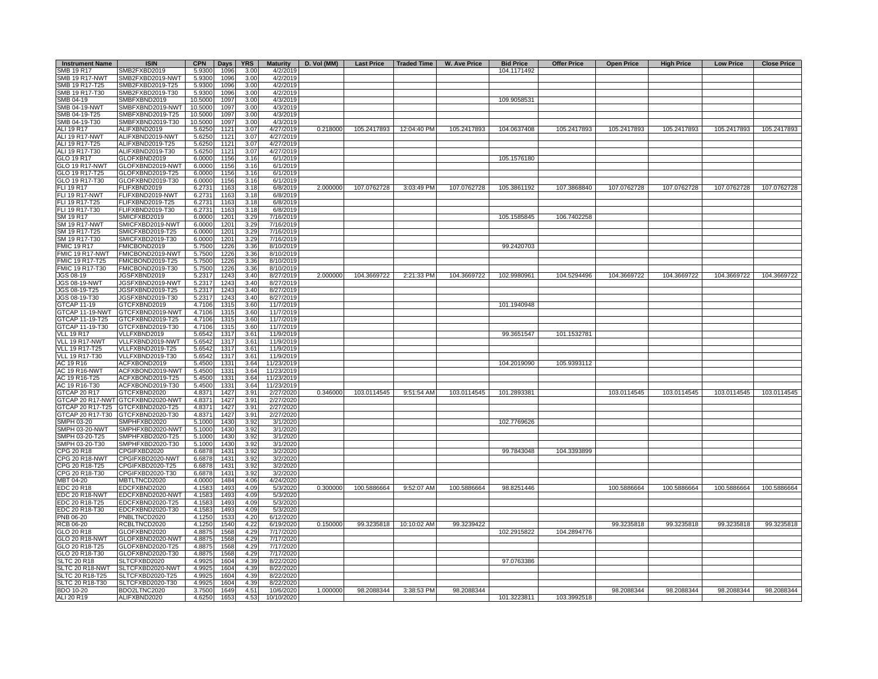| <b>Instrument Name</b>           | <b>ISIN</b>                          | <b>CPN</b>       | Days         | <b>YRS</b>   | <b>Maturity</b>        | D. Vol (MM) | <b>Last Price</b> | Traded Time | W. Ave Price | <b>Bid Price</b> | <b>Offer Price</b> | <b>Open Price</b> | <b>High Price</b> | <b>Low Price</b> | <b>Close Price</b> |
|----------------------------------|--------------------------------------|------------------|--------------|--------------|------------------------|-------------|-------------------|-------------|--------------|------------------|--------------------|-------------------|-------------------|------------------|--------------------|
| SMB 19 R17                       | SMB2FXBD2019                         | 5.9300           | 1096         | 3.00         | 4/2/2019               |             |                   |             |              | 104.1171492      |                    |                   |                   |                  |                    |
| <b>SMB 19 R17-NWT</b>            | SMB2FXBD2019-NWT                     | 5.9300           | 1096         | 3.00         | 4/2/2019               |             |                   |             |              |                  |                    |                   |                   |                  |                    |
| SMB 19 R17-T25                   | SMB2FXBD2019-T25                     | 5.9300           | 1096         | 3.00         | 4/2/2019               |             |                   |             |              |                  |                    |                   |                   |                  |                    |
| SMB 19 R17-T30                   | SMB2FXBD2019-T30                     | 5.9300           | 1096         | 3.00         | 4/2/2019               |             |                   |             |              |                  |                    |                   |                   |                  |                    |
| SMB 04-19                        | SMBFXBND2019                         | 10.5000          | 1097         | 3.00         | 4/3/2019               |             |                   |             |              | 109.9058531      |                    |                   |                   |                  |                    |
| <b>SMB 04-19-NWT</b>             | SMBFXBND2019-NWT                     | 10.5000          | 1097         | 3.00         | 4/3/2019               |             |                   |             |              |                  |                    |                   |                   |                  |                    |
| SMB 04-19-T25                    | SMBFXBND2019-T25                     | 10.5000          | 1097         | 3.00         | 4/3/2019               |             |                   |             |              |                  |                    |                   |                   |                  |                    |
| SMB 04-19-T30                    | SMBFXBND2019-T30                     | 10.5000          | 1097         | 3.00         | 4/3/2019               |             |                   |             |              |                  |                    |                   |                   |                  |                    |
| ALI 19 R17                       | ALIFXBND2019                         | 5.6250           | 1121         | 3.07         | 4/27/2019              | 0.218000    | 105.2417893       | 12:04:40 PM | 105.2417893  | 104.0637408      | 105.2417893        | 105.2417893       | 105.2417893       | 105.2417893      | 105.2417893        |
| ALI 19 R17-NWT                   | ALIFXBND2019-NWT                     | 5.6250           | 1121         | 3.07         | 4/27/2019              |             |                   |             |              |                  |                    |                   |                   |                  |                    |
| ALI 19 R17-T25<br>ALI 19 R17-T30 | ALIFXBND2019-T25<br>ALIFXBND2019-T30 | 5.6250<br>5.6250 | 1121<br>1121 | 3.07<br>3.07 | 4/27/2019<br>4/27/2019 |             |                   |             |              |                  |                    |                   |                   |                  |                    |
| GLO 19 R17                       | GLOFXBND2019                         | 6.0000           | 1156         | 3.16         | 6/1/2019               |             |                   |             |              | 105.1576180      |                    |                   |                   |                  |                    |
| <b>GLO 19 R17-NWT</b>            | GLOFXBND2019-NWT                     | 6.0000           | 1156         | 3.16         | 6/1/2019               |             |                   |             |              |                  |                    |                   |                   |                  |                    |
| GLO 19 R17-T25                   | GLOFXBND2019-T25                     | 6.0000           | 1156         | 3.16         | 6/1/2019               |             |                   |             |              |                  |                    |                   |                   |                  |                    |
| GLO 19 R17-T30                   | GLOFXBND2019-T30                     | 6,0000           | 1156         | 3.16         | 6/1/2019               |             |                   |             |              |                  |                    |                   |                   |                  |                    |
| FLI 19 R17                       | FLIFXBND2019                         | 6.2731           | 1163         | 3.18         | 6/8/2019               | 2.000000    | 107.0762728       | 3:03:49 PM  | 107.0762728  | 105.3861192      | 107.3868840        | 107.0762728       | 107.0762728       | 107.0762728      | 107.0762728        |
| FLI 19 R17-NWT                   | FLIFXBND2019-NWT                     | 6.2731           | 1163         | 3.18         | 6/8/2019               |             |                   |             |              |                  |                    |                   |                   |                  |                    |
| FLI 19 R17-T25                   | FLIFXBND2019-T25                     | 6.2731           | 1163         | 3.18         | 6/8/2019               |             |                   |             |              |                  |                    |                   |                   |                  |                    |
| FLI 19 R17-T30                   | FLIFXBND2019-T30                     | 6.2731           | 1163         | 3.18         | 6/8/2019               |             |                   |             |              |                  |                    |                   |                   |                  |                    |
| SM 19 R17                        | SMICFXBD2019                         | 6.0000           | 1201         | 3.29         | 7/16/2019              |             |                   |             |              | 105.1585845      | 106.7402258        |                   |                   |                  |                    |
| <b>SM 19 R17-NWT</b>             | SMICFXBD2019-NWT                     | 6.0000           | 1201         | 3.29         | 7/16/2019              |             |                   |             |              |                  |                    |                   |                   |                  |                    |
| SM 19 R17-T25                    | SMICFXBD2019-T25                     | 6.0000           | 1201         | 3.29         | 7/16/2019              |             |                   |             |              |                  |                    |                   |                   |                  |                    |
| SM 19 R17-T30                    | SMICFXBD2019-T30                     | 6.0000           | 1201         | 3.29         | 7/16/2019              |             |                   |             |              |                  |                    |                   |                   |                  |                    |
| <b>FMIC 19 R17</b>               | FMICBOND2019                         | 5.7500           | 1226         | 3.36         | 8/10/2019              |             |                   |             |              | 99.2420703       |                    |                   |                   |                  |                    |
| FMIC 19 R17-NWT                  | FMICBOND2019-NWT                     | 5.7500           | 1226         | 3.36         | 8/10/2019              |             |                   |             |              |                  |                    |                   |                   |                  |                    |
| FMIC 19 R17-T25                  | FMICBOND2019-T25                     | 5.7500           | 1226         | 3.36         | 8/10/2019              |             |                   |             |              |                  |                    |                   |                   |                  |                    |
| FMIC 19 R17-T30                  | FMICBOND2019-T30                     | 5.7500           | 1226         | 3.36         | 8/10/2019              |             |                   |             |              |                  |                    |                   |                   |                  |                    |
| JGS 08-19                        | JGSFXBND2019                         | 5.2317           | 1243         | 3.40         | 8/27/2019              | 2.000000    | 104.3669722       | 2:21:33 PM  | 104.3669722  | 102.9980961      | 104.5294496        | 104.3669722       | 104.3669722       | 104.3669722      | 104.3669722        |
| <b>JGS 08-19-NWT</b>             | JGSFXBND2019-NWT                     | 5.2317           | 1243         | 3.40         | 8/27/2019              |             |                   |             |              |                  |                    |                   |                   |                  |                    |
| JGS 08-19-T25                    | JGSFXBND2019-T25                     | 5.2317           | 1243         | 3.40         | 8/27/2019              |             |                   |             |              |                  |                    |                   |                   |                  |                    |
| JGS 08-19-T30                    | JGSFXBND2019-T30                     | 5.2317           | 1243         | 3.40         | 8/27/2019              |             |                   |             |              |                  |                    |                   |                   |                  |                    |
| <b>GTCAP 11-19</b>               | GTCFXBND2019                         | 4.7106           | 1315         | 3.60         | 11/7/2019              |             |                   |             |              | 101.1940948      |                    |                   |                   |                  |                    |
| GTCAP 11-19-NWT                  | GTCFXBND2019-NWT                     | 4.7106           | 1315         | 3.60         | 11/7/2019              |             |                   |             |              |                  |                    |                   |                   |                  |                    |
| GTCAP 11-19-T25                  | GTCFXBND2019-T25                     | 4.7106           | 1315         | 3.60         | 11/7/2019              |             |                   |             |              |                  |                    |                   |                   |                  |                    |
| GTCAP 11-19-T30                  | GTCFXBND2019-T30                     | 4.7106           | 1315         | 3.60         | 11/7/2019              |             |                   |             |              |                  |                    |                   |                   |                  |                    |
| <b>VLL 19 R17</b>                | VLLFXBND2019                         | 5.6542           | 1317         | 3.61         | 11/9/2019              |             |                   |             |              | 99.3651547       | 101.1532781        |                   |                   |                  |                    |
| VLL 19 R17-NWT                   | VLLFXBND2019-NWT                     | 5.6542           | 1317         | 3.61         | 11/9/2019              |             |                   |             |              |                  |                    |                   |                   |                  |                    |
| VLL 19 R17-T25                   | VLLFXBND2019-T25                     | 5.6542           | 1317         | 3.61         | 11/9/2019              |             |                   |             |              |                  |                    |                   |                   |                  |                    |
| <b>VLL 19 R17-T30</b>            | VLLFXBND2019-T30                     | 5.6542           | 1317         | 3.61         | 11/9/2019              |             |                   |             |              |                  |                    |                   |                   |                  |                    |
| AC 19 R16                        | ACFXBOND2019                         | 5.4500           | 1331         | 3.64         | 11/23/2019             |             |                   |             |              | 104.2019090      | 105.9393112        |                   |                   |                  |                    |
| <b>AC 19 R16-NWT</b>             | ACFXBOND2019-NWT                     | 5.4500           | 1331         | 3.64         | 11/23/2019             |             |                   |             |              |                  |                    |                   |                   |                  |                    |
| AC 19 R16-T25                    | ACFXBOND2019-T25                     | 5.4500           | 1331         | 3.64         | 11/23/2019             |             |                   |             |              |                  |                    |                   |                   |                  |                    |
| AC 19 R16-T30                    | ACFXBOND2019-T30                     | 5.4500           | 1331         | 3.64         | 11/23/2019             |             |                   |             |              |                  |                    |                   |                   |                  |                    |
| GTCAP 20 R17                     | GTCFXBND2020                         | 4.8371           | 1427         | 3.91         | 2/27/2020              | 0.346000    | 103.0114545       | 9:51:54 AM  | 103.0114545  | 101.2893381      |                    | 103.0114545       | 103.0114545       | 103.0114545      | 103.0114545        |
|                                  | GTCAP 20 R17-NWT GTCFXBND2020-NWT    | 4.8371           | 1427         | 3.91         | 2/27/2020              |             |                   |             |              |                  |                    |                   |                   |                  |                    |
|                                  | GTCAP 20 R17-T25 GTCFXBND2020-T25    | 4.8371           | 1427         | 3.91         | 2/27/2020              |             |                   |             |              |                  |                    |                   |                   |                  |                    |
|                                  | GTCAP 20 R17-T30 GTCFXBND2020-T30    | 4.8371           | 1427         | 3.91         | 2/27/2020              |             |                   |             |              |                  |                    |                   |                   |                  |                    |
| <b>SMPH 03-20</b>                | SMPHFXBD2020                         | 5.1000           | 1430         | 3.92         | 3/1/2020               |             |                   |             |              | 102.7769626      |                    |                   |                   |                  |                    |
| SMPH 03-20-NWT                   | SMPHFXBD2020-NWT                     | 5.1000           | 1430         | 3.92         | 3/1/2020               |             |                   |             |              |                  |                    |                   |                   |                  |                    |
| SMPH 03-20-T25                   | SMPHFXBD2020-T25                     | 5.1000           | 1430         | 3.92         | 3/1/2020               |             |                   |             |              |                  |                    |                   |                   |                  |                    |
| SMPH 03-20-T30                   | SMPHFXBD2020-T30                     | 5.1000           | 1430         | 3.92         | 3/1/2020               |             |                   |             |              |                  |                    |                   |                   |                  |                    |
| CPG 20 R18                       | CPGIFXBD2020                         | 6.6878           | 1431         | 3.92         | 3/2/2020               |             |                   |             |              | 99.7843048       | 104.3393899        |                   |                   |                  |                    |
| CPG 20 R18-NWT                   | CPGIFXBD2020-NWT                     | 6.6878           | 1431         | 3.92         | 3/2/2020               |             |                   |             |              |                  |                    |                   |                   |                  |                    |
| CPG 20 R18-T25                   | CPGIFXBD2020-T25                     | 6.6878           | 1431         | 3.92         | 3/2/2020               |             |                   |             |              |                  |                    |                   |                   |                  |                    |
| CPG 20 R18-T30                   | CPGIFXBD2020-T30                     | 6.6878           | 1431         | 3.92         | 3/2/2020               |             |                   |             |              |                  |                    |                   |                   |                  |                    |
| MBT 04-20                        | MBTLTNCD2020                         | 4.0000           | 1484         | 4.06         | 4/24/2020              |             |                   |             |              |                  |                    |                   |                   |                  |                    |
| EDC 20 R18                       | EDCFXBND2020                         | 4.1583           | 1493         | 4.09         | 5/3/2020               | 0.300000    | 100.5886664       | 9:52:07 AM  | 100.5886664  | 98.8251446       |                    | 100.5886664       | 100.5886664       | 100.5886664      | 100.5886664        |
| EDC 20 R18-NWT                   | EDCFXBND2020-NWT                     | 4.1583           | 1493         | 4.09         | 5/3/2020               |             |                   |             |              |                  |                    |                   |                   |                  |                    |
| EDC 20 R18-T25                   | EDCFXBND2020-T25                     | 4.1583           | 1493         | 4.09         | 5/3/2020               |             |                   |             |              |                  |                    |                   |                   |                  |                    |
| EDC 20 R18-T30                   | EDCFXBND2020-T30                     | 4.1583           | 1493         | 4.09         | 5/3/2020               |             |                   |             |              |                  |                    |                   |                   |                  |                    |
| PNB 06-20                        | PNBLTNCD2020                         | 4.1250           | 1533         | 4.20         | 6/12/2020              |             |                   |             |              |                  |                    |                   |                   |                  |                    |
| <b>RCB 06-20</b>                 | RCBLTNCD2020                         | 4.1250           | 1540         | 4.22         | 6/19/2020              | 0.150000    | 99.3235818        | 10:10:02 AM | 99.3239422   |                  |                    | 99.3235818        | 99.3235818        | 99.3235818       | 99.3235818         |
| GLO 20 R18                       | GLOFXBND2020                         | 4.8875           | 1568         | 4.29         | 7/17/2020              |             |                   |             |              | 102.2915822      | 104.2894776        |                   |                   |                  |                    |
| <b>GLO 20 R18-NWT</b>            | GLOFXBND2020-NWT                     | 4.8875           | 1568         | 4.29         | 7/17/2020              |             |                   |             |              |                  |                    |                   |                   |                  |                    |
| GLO 20 R18-T25                   | GLOFXBND2020-T25                     | 4.8875           | 1568         | 4.29         | 7/17/2020              |             |                   |             |              |                  |                    |                   |                   |                  |                    |
| GLO 20 R18-T30                   | GLOFXBND2020-T30                     | 4.8875           | 1568         | 4.29         | 7/17/2020              |             |                   |             |              |                  |                    |                   |                   |                  |                    |
| <b>SLTC 20 R18</b>               | SLTCFXBD2020                         | 4.9925           | 1604         | 4.39         | 8/22/2020              |             |                   |             |              | 97.0763386       |                    |                   |                   |                  |                    |
| SLTC 20 R18-NWT                  | SLTCFXBD2020-NWT                     | 4.9925           | 1604         | 4.39         | 8/22/2020              |             |                   |             |              |                  |                    |                   |                   |                  |                    |
| SLTC 20 R18-T25                  | SLTCFXBD2020-T25                     | 4.9925           | 1604         | 4.39         | 8/22/2020              |             |                   |             |              |                  |                    |                   |                   |                  |                    |
| SLTC 20 R18-T30                  | SLTCFXBD2020-T30                     | 4.9925           | 1604         | 4.39         | 8/22/2020              |             |                   |             |              |                  |                    |                   |                   |                  |                    |
| BDO 10-20                        | BDO2LTNC2020                         | 3.7500           | 1649         | 4.51         | 10/6/2020              | 1.000000    | 98.2088344        | 3:38:53 PM  | 98.2088344   |                  |                    | 98.2088344        | 98.2088344        | 98.2088344       | 98.2088344         |
| ALI 20 R19                       | ALIFXBND2020                         | 4.6250           | 1653         | 4.53         | 10/10/2020             |             |                   |             |              | 101.3223811      | 103.3992518        |                   |                   |                  |                    |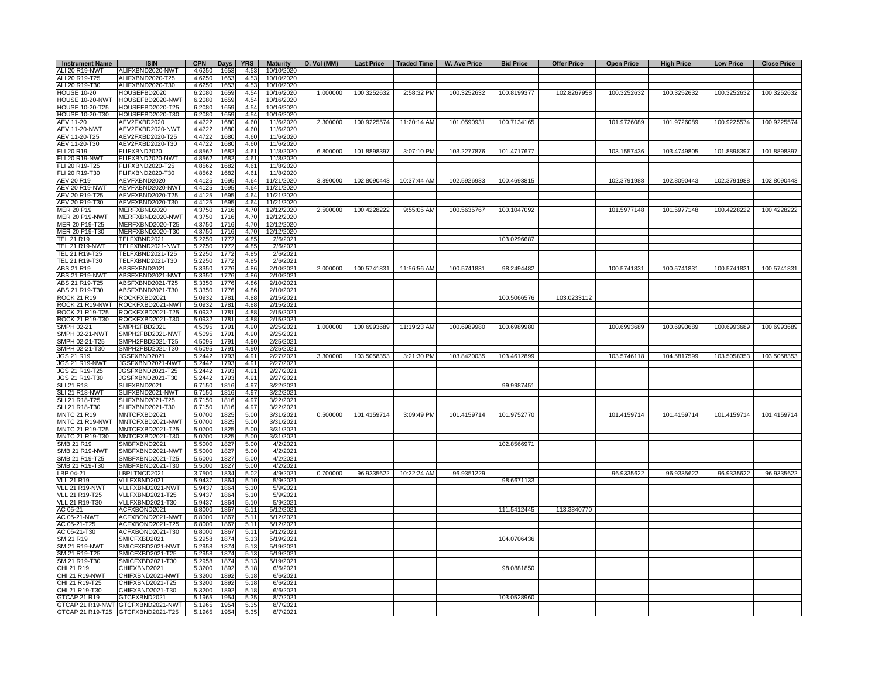| <b>Instrument Name</b>               | <b>ISIN</b>                       | $CPN$   Days   YRS |              |              | <b>Maturity</b>        | D. Vol (MM) |             | Last Price   Traded Time  | W. Ave Price | <b>Bid Price</b> | <b>Offer Price</b> | <b>Open Price</b> | <b>High Price</b> | <b>Low Price</b> | <b>Close Price</b> |
|--------------------------------------|-----------------------------------|--------------------|--------------|--------------|------------------------|-------------|-------------|---------------------------|--------------|------------------|--------------------|-------------------|-------------------|------------------|--------------------|
| ALI 20 R19-NWT                       | ALIFXBND2020-NWT                  | 4.6250             | 1653         | 4.53         | 10/10/2020             |             |             |                           |              |                  |                    |                   |                   |                  |                    |
| ALI 20 R19-T25                       | ALIFXBND2020-T25                  | 4.6250             | 1653         | 4.53         | 10/10/2020             |             |             |                           |              |                  |                    |                   |                   |                  |                    |
| ALI 20 R19-T30                       | ALIFXBND2020-T30                  | 4.6250             | 1653         | 4.53         | 10/10/2020             |             |             |                           |              |                  |                    |                   |                   |                  |                    |
| <b>HOUSE 10-20</b>                   | HOUSEFBD2020                      | 6.2080             | 1659         | 4.54         | 10/16/2020             | 1.000000    | 100.3252632 | 2:58:32 PM                | 100.3252632  | 100.8199377      | 102.8267958        | 100.3252632       | 100.3252632       | 100.3252632      | 100.3252632        |
| HOUSE 10-20-NWT                      | HOUSEFBD2020-NWT                  | 6.2080             | 1659         | 4.54         | 10/16/2020             |             |             |                           |              |                  |                    |                   |                   |                  |                    |
| HOUSE 10-20-T25                      | HOUSEFBD2020-T25                  | 6.2080             | 1659         | 4.54         | 10/16/2020             |             |             |                           |              |                  |                    |                   |                   |                  |                    |
| HOUSE 10-20-T30                      | HOUSEFBD2020-T30                  | 6.2080             | 1659         | 4.54         | 10/16/2020             |             |             |                           |              |                  |                    |                   |                   |                  |                    |
| <b>AEV 11-20</b>                     | AEV2FXBD2020                      | 4.4722             | 1680         | 4.60         | 11/6/2020              | 2.300000    | 100.9225574 | 11:20:14 AM               | 101.0590931  | 100.7134165      |                    | 101.9726089       | 101.9726089       | 100.9225574      | 100.9225574        |
| <b>AEV 11-20-NWT</b>                 | AEV2FXBD2020-NWT                  | 4.4722             | 1680         | 4.60         | 11/6/2020              |             |             |                           |              |                  |                    |                   |                   |                  |                    |
| AEV 11-20-T25                        | AEV2FXBD2020-T25                  | 4.4722             | 1680         | 4.60         | 11/6/2020              |             |             |                           |              |                  |                    |                   |                   |                  |                    |
| AEV 11-20-T30                        | AEV2FXBD2020-T30                  | 4.4722             | 1680         | 4.60         | 11/6/2020              |             |             |                           |              |                  |                    |                   |                   |                  |                    |
| FLI 20 R19                           | FLIFXBND2020                      | 4.8562             | 1682         | 4.61         | 11/8/2020              | 6.800000    | 101.8898397 | 3:07:10 PM                | 103.2277876  | 101.4717677      |                    | 103.1557436       | 103.4749805       | 101.8898397      | 101.8898397        |
| <b>FLI 20 R19-NWT</b>                | FLIFXBND2020-NWT                  | 4.8562             | 1682         | 4.61         | 11/8/2020              |             |             |                           |              |                  |                    |                   |                   |                  |                    |
| FLI 20 R19-T25                       | FLIFXBND2020-T25                  | 4.8562             | 1682         | 4.61         | 11/8/2020              |             |             |                           |              |                  |                    |                   |                   |                  |                    |
| FLI 20 R19-T30                       | FLIFXBND2020-T30                  | 4.8562             | 1682         | 4.61         | 11/8/2020              |             |             |                           |              |                  |                    |                   |                   |                  |                    |
| AEV 20 R19                           | AEVFXBND2020                      | 4.4125             | 1695         | 4.64         | 11/21/2020             | 3.890000    | 102.8090443 | 10:37:44 AM               | 102.5926933  | 100.4693815      |                    | 102.3791988       | 102.8090443       | 102.3791988      | 102.8090443        |
| AEV 20 R19-NWT                       | AEVFXBND2020-NWT                  | 4.4125             | 1695         | 4.64         | 11/21/2020             |             |             |                           |              |                  |                    |                   |                   |                  |                    |
| AEV 20 R19-T25                       | AEVFXBND2020-T25                  | 4.4125             | 1695         | 4.64         | 11/21/2020             |             |             |                           |              |                  |                    |                   |                   |                  |                    |
| AEV 20 R19-T30                       | AEVFXBND2020-T30                  | 4.4125             | 1695         | 4.64         | 11/21/2020             |             |             |                           |              |                  |                    |                   |                   |                  |                    |
| MER 20 P19                           | MERFXBND2020                      | 4.3750             | 1716         | 4.70         | 12/12/2020             | 2.500000    | 100.4228222 | 9:55:05 AM                | 100.5635767  | 100.1047092      |                    | 101.5977148       | 101.5977148       | 100.4228222      | 100.4228222        |
| <b>MER 20 P19-NWT</b>                | MERFXBND2020-NWT                  | 4.3750             | 1716         | 4.70         | 12/12/2020             |             |             |                           |              |                  |                    |                   |                   |                  |                    |
| MER 20 P19-T25                       | MERFXBND2020-T25                  | 4.3750             | 1716         | 4.70         | 12/12/2020             |             |             |                           |              |                  |                    |                   |                   |                  |                    |
| MER 20 P19-T30                       | MERFXBND2020-T30                  | 4.3750             | 1716         | 4.70         | 12/12/2020             |             |             |                           |              |                  |                    |                   |                   |                  |                    |
| <b>TEL 21 R19</b>                    | TELFXBND2021                      | 5.2250             | 1772         | 4.85         | 2/6/2021               |             |             |                           |              | 103.0296687      |                    |                   |                   |                  |                    |
| TEL 21 R19-NWT                       | TELFXBND2021-NWT                  | 5.2250             | 1772         | 4.85         | 2/6/2021               |             |             |                           |              |                  |                    |                   |                   |                  |                    |
| TEL 21 R19-T25                       | TELFXBND2021-T25                  | 5.2250             | 1772         | 4.85         | 2/6/2021               |             |             |                           |              |                  |                    |                   |                   |                  |                    |
| TEL 21 R19-T30                       | TELFXBND2021-T30                  | 5.2250             | 1772         | 4.85         | 2/6/2021               |             |             |                           |              |                  |                    |                   |                   |                  |                    |
| ABS 21 R19                           | ABSFXBND2021                      | 5.3350             | 1776         | 4.86         | 2/10/2021              | 2.000000    |             | 100.5741831   11:56:56 AM | 100.5741831  | 98.2494482       |                    | 100.5741831       | 100.5741831       | 100.5741831      | 100.5741831        |
| ABS 21 R19-NWT                       | ABSFXBND2021-NWT                  | 5.3350             | 1776         | 4.86         | 2/10/2021              |             |             |                           |              |                  |                    |                   |                   |                  |                    |
| ABS 21 R19-T25                       | ABSFXBND2021-T25                  | 5.3350             | 1776         | 4.86         | 2/10/2021              |             |             |                           |              |                  |                    |                   |                   |                  |                    |
| ABS 21 R19-T30                       | ABSFXBND2021-T30                  | 5.3350             | 1776         | 4.86         | 2/10/2021              |             |             |                           |              |                  |                    |                   |                   |                  |                    |
| ROCK 21 R19                          | ROCKFXBD2021                      | 5.0932             | 1781         | 4.88         | 2/15/2021              |             |             |                           |              | 100.5066576      | 103.0233112        |                   |                   |                  |                    |
| ROCK 21 R19-NWT                      | ROCKFXBD2021-NWT                  | 5.0932             | 1781         | 4.88         | 2/15/2021              |             |             |                           |              |                  |                    |                   |                   |                  |                    |
| ROCK 21 R19-T25                      | ROCKFXBD2021-T25                  | 5.0932             | 1781         | 4.88         | 2/15/2021              |             |             |                           |              |                  |                    |                   |                   |                  |                    |
| ROCK 21 R19-T30                      | ROCKFXBD2021-T30                  | 5.0932             | 1781         | 4.88         | 2/15/2021              |             |             |                           |              |                  |                    |                   |                   |                  |                    |
| SMPH 02-21                           | SMPH2FBD2021                      | 4.5095             | 1791         | 4.90         | 2/25/2021              | 1.000000    |             | 100.6993689 11:19:23 AM   | 100.6989980  | 100.6989980      |                    | 100.6993689       | 100.6993689       | 100.6993689      | 100.6993689        |
| SMPH 02-21-NWT                       | SMPH2FBD2021-NWT                  | 4.5095             | 1791         | 4.90         | 2/25/2021              |             |             |                           |              |                  |                    |                   |                   |                  |                    |
| SMPH 02-21-T25                       | SMPH2FBD2021-T25                  | 4.5095             | 1791         | 4.90         | 2/25/2021              |             |             |                           |              |                  |                    |                   |                   |                  |                    |
| SMPH 02-21-T30                       | SMPH2FBD2021-T30                  | 4.5095             | 1791         | 4.90         | 2/25/2021              |             |             |                           |              |                  |                    |                   |                   |                  |                    |
| <b>JGS 21 R19</b>                    | JGSFXBND2021                      | 5.2442             | 1793         | 4.91         | 2/27/2021              | 3.300000    | 103.5058353 | 3:21:30 PM                | 103.8420035  | 103.4612899      |                    | 103.5746118       | 104.5817599       | 103.5058353      | 103.5058353        |
| <b>JGS 21 R19-NWT</b>                | JGSFXBND2021-NWT                  | 5.2442             | 1793         | 4.91         | 2/27/2021              |             |             |                           |              |                  |                    |                   |                   |                  |                    |
| JGS 21 R19-T25                       | JGSFXBND2021-T25                  | 5.2442             | 1793         | 4.91         | 2/27/2021              |             |             |                           |              |                  |                    |                   |                   |                  |                    |
| JGS 21 R19-T30                       | JGSFXBND2021-T30                  | 5.2442             | 1793         | 4.91         | 2/27/2021              |             |             |                           |              |                  |                    |                   |                   |                  |                    |
| SLI 21 R18                           | SLIFXBND2021                      | 6.7150             | 1816         | 4.97         | 3/22/2021              |             |             |                           |              | 99.9987451       |                    |                   |                   |                  |                    |
| <b>SLI 21 R18-NWT</b>                | SLIFXBND2021-NWT                  | 6.7150             | 1816         | 4.97         | 3/22/2021              |             |             |                           |              |                  |                    |                   |                   |                  |                    |
|                                      |                                   |                    |              |              |                        |             |             |                           |              |                  |                    |                   |                   |                  |                    |
| SLI 21 R18-T25                       | SLIFXBND2021-T25                  | 6.7150             | 1816         | 4.97         | 3/22/2021              |             |             |                           |              |                  |                    |                   |                   |                  |                    |
| SLI 21 R18-T30<br><b>MNTC 21 R19</b> | SLIFXBND2021-T30<br>MNTCFXBD2021  | 6.7150             | 1816<br>1825 | 4.97<br>5.00 | 3/22/2021<br>3/31/2021 | 0.500000    | 101.4159714 | 3:09:49 PM                | 101.4159714  | 101.9752770      |                    | 101.4159714       | 101.4159714       | 101.4159714      | 101.4159714        |
|                                      |                                   | 5.0700             |              |              |                        |             |             |                           |              |                  |                    |                   |                   |                  |                    |
| MNTC 21 R19-NWT                      | MNTCFXBD2021-NWT                  | 5.0700             | 1825         | 5.00         | 3/31/2021              |             |             |                           |              |                  |                    |                   |                   |                  |                    |
| MNTC 21 R19-T25                      | MNTCFXBD2021-T25                  | 5.0700             | 1825         | 5.00         | 3/31/2021              |             |             |                           |              |                  |                    |                   |                   |                  |                    |
| MNTC 21 R19-T30                      | MNTCFXBD2021-T30                  | 5.0700             | 1825         | 5.00         | 3/31/2021              |             |             |                           |              |                  |                    |                   |                   |                  |                    |
| SMB 21 R19                           | SMBFXBND2021                      | 5.5000             | 1827         | 5.00         | 4/2/2021               |             |             |                           |              | 102.8566971      |                    |                   |                   |                  |                    |
| <b>SMB 21 R19-NWT</b>                | SMBFXBND2021-NWT                  | 5.5000             | 1827         | 5.00         | 4/2/2021               |             |             |                           |              |                  |                    |                   |                   |                  |                    |
| SMB 21 R19-T25                       | SMBFXBND2021-T25                  | 5.5000             | 1827         | 5.00         | 4/2/2021               |             |             |                           |              |                  |                    |                   |                   |                  |                    |
| SMB 21 R19-T30                       | SMBFXBND2021-T30                  | 5.5000             | 1827         | 5.00         | 4/2/2021               |             |             |                           |              |                  |                    |                   |                   |                  |                    |
| LBP 04-21                            | LBPLTNCD2021                      | 3.7500             | 1834         | 5.02         | 4/9/2021               | 0.700000    | 96.9335622  | 10:22:24 AM               | 96.9351229   |                  |                    | 96.9335622        | 96.9335622        | 96.9335622       | 96.9335622         |
| <b>VLL 21 R19</b>                    | VLLFXBND2021                      | 5.9437             | 1864         | 5.10         | 5/9/2021               |             |             |                           |              | 98.6671133       |                    |                   |                   |                  |                    |
| VLL 21 R19-NWT                       | VLLFXBND2021-NWT                  | 5.9437             | 1864         | 5.10         | 5/9/2021               |             |             |                           |              |                  |                    |                   |                   |                  |                    |
| VLL 21 R19-T25                       | VLLFXBND2021-T25                  | 5.9437             | 1864         | 5.10         | 5/9/2021               |             |             |                           |              |                  |                    |                   |                   |                  |                    |
| VLL 21 R19-T30                       | VLLFXBND2021-T30                  | 5.9437             | 1864         | 5.10         | 5/9/2021               |             |             |                           |              |                  |                    |                   |                   |                  |                    |
| AC 05-21                             | ACFXBOND2021                      | 6.8000             | 1867         | 5.11         | 5/12/2021              |             |             |                           |              | 111.5412445      | 113.3840770        |                   |                   |                  |                    |
| AC 05-21-NWT                         | ACFXBOND2021-NWT                  | 6.8000             | 1867         | 5.11         | 5/12/2021              |             |             |                           |              |                  |                    |                   |                   |                  |                    |
| AC 05-21-T25                         | ACFXBOND2021-T25                  | 6.8000             | 1867         | 5.11         | 5/12/2021              |             |             |                           |              |                  |                    |                   |                   |                  |                    |
| AC 05-21-T30                         | ACFXBOND2021-T30                  | 6.8000             | 1867         | 5.11         | 5/12/2021              |             |             |                           |              |                  |                    |                   |                   |                  |                    |
| SM 21 R19                            | SMICFXBD2021                      | 5.2958             | 1874         | 5.13         | 5/19/2021              |             |             |                           |              | 104.0706436      |                    |                   |                   |                  |                    |
| SM 21 R19-NWT                        | SMICFXBD2021-NWT                  | 5.2958             | 1874         | 5.13         | 5/19/2021              |             |             |                           |              |                  |                    |                   |                   |                  |                    |
| SM 21 R19-T25                        | SMICFXBD2021-T25                  | 5.2958             | 1874         | 5.13         | 5/19/2021              |             |             |                           |              |                  |                    |                   |                   |                  |                    |
| SM 21 R19-T30                        | SMICFXBD2021-T30                  | 5.2958             | 1874         | 5.13         | 5/19/2021              |             |             |                           |              |                  |                    |                   |                   |                  |                    |
| CHI 21 R19                           | CHIFXBND2021                      | 5.3200             | 1892         | 5.18         | 6/6/2021               |             |             |                           |              | 98.0881850       |                    |                   |                   |                  |                    |
| CHI 21 R19-NWT                       | CHIFXBND2021-NWT                  | 5.3200             | 1892         | 5.18         | 6/6/2021               |             |             |                           |              |                  |                    |                   |                   |                  |                    |
| CHI 21 R19-T25                       | CHIFXBND2021-T25                  | 5.3200             | 1892         | 5.18         | 6/6/2021               |             |             |                           |              |                  |                    |                   |                   |                  |                    |
| CHI 21 R19-T30                       | CHIFXBND2021-T30                  | 5.3200             | 1892         | 5.18         | 6/6/2021               |             |             |                           |              |                  |                    |                   |                   |                  |                    |
| GTCAP 21 R19                         | GTCFXBND2021                      | 5.1965             | 1954         | 5.35         | 8/7/2021               |             |             |                           |              | 103.0528960      |                    |                   |                   |                  |                    |
|                                      | GTCAP 21 R19-NWT GTCFXBND2021-NWT | 5.1965             | 1954         | 5.35         | 8/7/2021               |             |             |                           |              |                  |                    |                   |                   |                  |                    |
|                                      | GTCAP 21 R19-T25 GTCFXBND2021-T25 | 5.1965             | 1954         | 5.35         | 8/7/2021               |             |             |                           |              |                  |                    |                   |                   |                  |                    |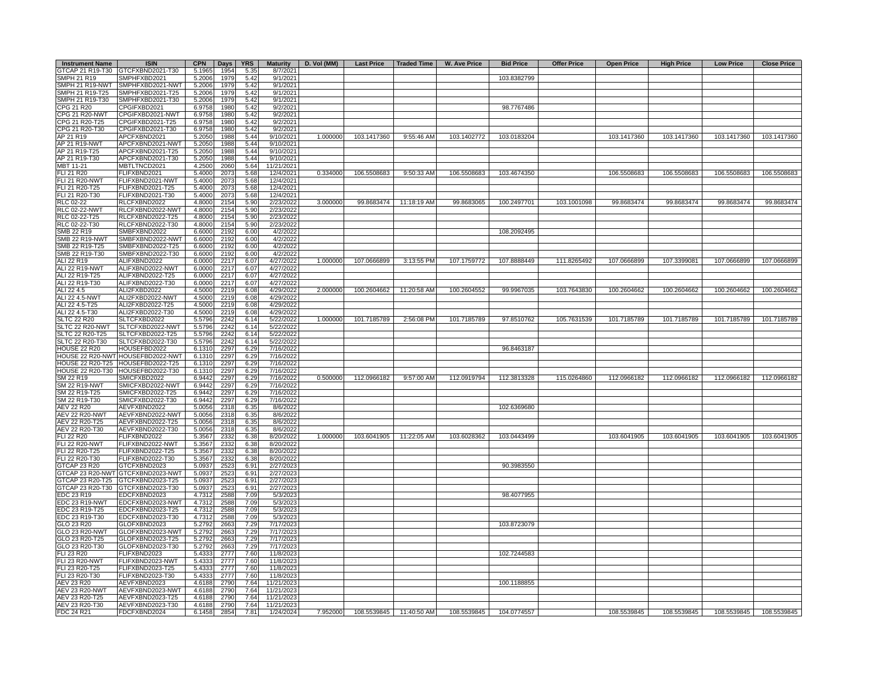| <b>Instrument Name</b> | <b>ISIN</b>                       | <b>CPN</b> | Days | <b>YRS</b> | <b>Maturity</b> | D. Vol (MM) |             | Last Price   Traded Time | <b>W. Ave Price</b> | <b>Bid Price</b> | <b>Offer Price</b> | <b>Open Price</b> | <b>High Price</b> | <b>Low Price</b> | <b>Close Price</b> |
|------------------------|-----------------------------------|------------|------|------------|-----------------|-------------|-------------|--------------------------|---------------------|------------------|--------------------|-------------------|-------------------|------------------|--------------------|
| GTCAP 21 R19-T30       | GTCFXBND2021-T30                  | 5.1965     | 1954 | 5.35       | 8/7/2021        |             |             |                          |                     |                  |                    |                   |                   |                  |                    |
| SMPH 21 R19            | SMPHFXBD2021                      | 5.2006     | 1979 | 5.42       | 9/1/2021        |             |             |                          |                     | 103.8382799      |                    |                   |                   |                  |                    |
|                        | SMPH 21 R19-NWT SMPHFXBD2021-NWT  | 5.2006     | 1979 | 5.42       | 9/1/2021        |             |             |                          |                     |                  |                    |                   |                   |                  |                    |
| SMPH 21 R19-T25        | SMPHFXBD2021-T25                  | 5.2006     | 1979 | 5.42       | 9/1/2021        |             |             |                          |                     |                  |                    |                   |                   |                  |                    |
| SMPH 21 R19-T30        | SMPHFXBD2021-T30                  | 5.2006     | 1979 | 5.42       | 9/1/2021        |             |             |                          |                     |                  |                    |                   |                   |                  |                    |
| CPG 21 R20             | CPGIFXBD2021                      | 6.9758     | 1980 | 5.42       | 9/2/2021        |             |             |                          |                     | 98.7767486       |                    |                   |                   |                  |                    |
| CPG 21 R20-NWT         | CPGIFXBD2021-NWT                  | 6.9758     | 1980 | 5.42       | 9/2/2021        |             |             |                          |                     |                  |                    |                   |                   |                  |                    |
| CPG 21 R20-T25         | CPGIFXBD2021-T25                  | 6.9758     | 1980 | 5.42       | 9/2/2021        |             |             |                          |                     |                  |                    |                   |                   |                  |                    |
| CPG 21 R20-T30         | CPGIFXBD2021-T30                  | 6.9758     | 1980 | 5.42       | 9/2/2021        |             |             |                          |                     |                  |                    |                   |                   |                  |                    |
| AP 21 R19              | APCFXBND2021                      | 5.2050     | 1988 | 5.44       | 9/10/2021       | 1.000000    | 103.1417360 | 9:55:46 AM               | 103.1402772         | 103.0183204      |                    | 103.1417360       | 103.1417360       | 103.1417360      | 103.1417360        |
| AP 21 R19-NWT          | APCFXBND2021-NWT                  | 5.2050     | 1988 | 5.44       | 9/10/2021       |             |             |                          |                     |                  |                    |                   |                   |                  |                    |
| AP 21 R19-T25          | APCFXBND2021-T25                  | 5.2050     | 1988 | 5.44       | 9/10/2021       |             |             |                          |                     |                  |                    |                   |                   |                  |                    |
| AP 21 R19-T30          | APCFXBND2021-T30                  | 5.2050     | 1988 | 5.44       | 9/10/2021       |             |             |                          |                     |                  |                    |                   |                   |                  |                    |
| MBT 11-21              | MBTLTNCD2021                      | 4.2500     | 2060 | 5.64       | 11/21/2021      |             |             |                          |                     |                  |                    |                   |                   |                  |                    |
| <b>FLI 21 R20</b>      | FLIFXBND2021                      | 5.4000     | 2073 | 5.68       | 12/4/2021       | 0.334000    | 106.5508683 | 9:50:33 AM               | 106.5508683         | 103.4674350      |                    | 106.5508683       | 106.5508683       | 106.5508683      | 106.5508683        |
| <b>FLI 21 R20-NWT</b>  | FLIFXBND2021-NWT                  | 5.4000     | 2073 | 5.68       | 12/4/2021       |             |             |                          |                     |                  |                    |                   |                   |                  |                    |
| FLI 21 R20-T25         | FLIFXBND2021-T25                  | 5.4000     | 2073 | 5.68       | 12/4/2021       |             |             |                          |                     |                  |                    |                   |                   |                  |                    |
| FLI 21 R20-T30         | FLIFXBND2021-T30                  | 5.4000     | 2073 | 5.68       | 12/4/2021       |             |             |                          |                     |                  |                    |                   |                   |                  |                    |
| RLC 02-22              | RLCFXBND2022                      | 4.8000     | 2154 | 5.90       | 2/23/2022       | 3.000000    | 99.8683474  | 11:18:19 AM              | 99.8683065          | 100.2497701      | 103.1001098        | 99.8683474        | 99.8683474        | 99.8683474       | 99.8683474         |
| <b>RLC 02-22-NWT</b>   | RLCFXBND2022-NWT                  | 4.8000     | 2154 | 5.90       | 2/23/2022       |             |             |                          |                     |                  |                    |                   |                   |                  |                    |
| RLC 02-22-T25          |                                   |            |      |            |                 |             |             |                          |                     |                  |                    |                   |                   |                  |                    |
|                        | RLCFXBND2022-T25                  | 4.8000     | 2154 | 5.90       | 2/23/2022       |             |             |                          |                     |                  |                    |                   |                   |                  |                    |
| RLC 02-22-T30          | RLCFXBND2022-T30                  | 4.8000     | 2154 | 5.90       | 2/23/2022       |             |             |                          |                     |                  |                    |                   |                   |                  |                    |
| SMB 22 R19             | SMBFXBND2022                      | 6.6000     | 2192 | 6.00       | 4/2/2022        |             |             |                          |                     | 108.2092495      |                    |                   |                   |                  |                    |
| <b>SMB 22 R19-NWT</b>  | SMBFXBND2022-NWT                  | 6.6000     | 2192 | 6.00       | 4/2/2022        |             |             |                          |                     |                  |                    |                   |                   |                  |                    |
| SMB 22 R19-T25         | SMBFXBND2022-T25                  | 6.6000     | 2192 | 6.00       | 4/2/2022        |             |             |                          |                     |                  |                    |                   |                   |                  |                    |
| SMB 22 R19-T30         | SMBFXBND2022-T30                  | 6.6000     | 2192 | 6.00       | 4/2/2022        |             |             |                          |                     |                  |                    |                   |                   |                  |                    |
| ALI 22 R19             | ALIFXBND2022                      | 6.0000     | 2217 | 6.07       | 4/27/2022       | 1.000000    | 107.0666899 | 3:13:55 PM               | 107.1759772         | 107.8888449      | 111.8265492        | 107.0666899       | 107.3399081       | 107.0666899      | 107.0666899        |
| ALI 22 R19-NWT         | ALIFXBND2022-NWT                  | 6.0000     | 2217 | 6.07       | 4/27/2022       |             |             |                          |                     |                  |                    |                   |                   |                  |                    |
| ALI 22 R19-T25         | ALIFXBND2022-T25                  | 6.0000     | 2217 | 6.07       | 4/27/2022       |             |             |                          |                     |                  |                    |                   |                   |                  |                    |
| ALI 22 R19-T30         | ALIFXBND2022-T30                  | 6.0000     | 2217 | 6.07       | 4/27/2022       |             |             |                          |                     |                  |                    |                   |                   |                  |                    |
| ALI 22 4.5             | ALI2FXBD2022                      | 4.5000     | 2219 | 6.08       | 4/29/2022       | 2.000000    | 100.2604662 | 11:20:58 AM              | 100.2604552         | 99.9967035       | 103.7643830        | 100.2604662       | 100.2604662       | 100.2604662      | 100.2604662        |
| ALI 22 4.5-NWT         | ALI2FXBD2022-NWT                  | 4.5000     | 2219 | 6.08       | 4/29/2022       |             |             |                          |                     |                  |                    |                   |                   |                  |                    |
| ALI 22 4.5-T25         | ALI2FXBD2022-T25                  | 4.5000     | 2219 | 6.08       | 4/29/2022       |             |             |                          |                     |                  |                    |                   |                   |                  |                    |
| ALI 22 4.5-T30         | ALI2FXBD2022-T30                  | 4.5000     | 2219 | 6.08       | 4/29/2022       |             |             |                          |                     |                  |                    |                   |                   |                  |                    |
|                        |                                   |            |      |            |                 |             |             |                          |                     |                  |                    |                   |                   |                  |                    |
| <b>SLTC 22 R20</b>     | SLTCFXBD2022                      | 5.5796     | 2242 | 6.14       | 5/22/2022       | 1.000000    | 101.7185789 | 2:56:08 PM               | 101.7185789         | 97.8510762       | 105.7631539        | 101.7185789       | 101.7185789       | 101.7185789      | 101.7185789        |
| SLTC 22 R20-NWT        | SLTCFXBD2022-NWT                  | 5.5796     | 2242 | 6.14       | 5/22/2022       |             |             |                          |                     |                  |                    |                   |                   |                  |                    |
| SLTC 22 R20-T25        | SLTCFXBD2022-T25                  | 5.5796     | 2242 | 6.14       | 5/22/2022       |             |             |                          |                     |                  |                    |                   |                   |                  |                    |
| SLTC 22 R20-T30        | SLTCFXBD2022-T30                  | 5.5796     | 2242 | 6.14       | 5/22/2022       |             |             |                          |                     |                  |                    |                   |                   |                  |                    |
| <b>HOUSE 22 R20</b>    | HOUSEFBD2022                      | 6.1310     | 2297 | 6.29       | 7/16/2022       |             |             |                          |                     | 96.8463187       |                    |                   |                   |                  |                    |
|                        | HOUSE 22 R20-NWT HOUSEFBD2022-NWT | 6.1310     | 2297 | 6.29       | 7/16/2022       |             |             |                          |                     |                  |                    |                   |                   |                  |                    |
|                        | HOUSE 22 R20-T25 HOUSEFBD2022-T25 | 6.1310     | 2297 | 6.29       | 7/16/2022       |             |             |                          |                     |                  |                    |                   |                   |                  |                    |
| HOUSE 22 R20-T30       | HOUSEFBD2022-T30                  | 6.1310     | 2297 | 6.29       | 7/16/2022       |             |             |                          |                     |                  |                    |                   |                   |                  |                    |
| SM 22 R19              | SMICFXBD2022                      | 6.9442     | 2297 | 6.29       | 7/16/2022       | 0.500000    | 112.0966182 | 9:57:00 AM               | 112.0919794         | 112.3813328      | 115.0264860        | 112.0966182       | 112.0966182       | 112.0966182      | 112.0966182        |
| <b>SM 22 R19-NWT</b>   | SMICFXBD2022-NWT                  | 6.9442     | 2297 | 6.29       | 7/16/2022       |             |             |                          |                     |                  |                    |                   |                   |                  |                    |
| SM 22 R19-T25          | SMICFXBD2022-T25                  | 6.9442     | 2297 | 6.29       | 7/16/2022       |             |             |                          |                     |                  |                    |                   |                   |                  |                    |
| SM 22 R19-T30          | SMICFXBD2022-T30                  | 6.9442     | 2297 | 6.29       | 7/16/2022       |             |             |                          |                     |                  |                    |                   |                   |                  |                    |
| <b>AEV 22 R20</b>      | AEVFXBND2022                      | 5.0056     | 2318 | 6.35       | 8/6/2022        |             |             |                          |                     | 102.6369680      |                    |                   |                   |                  |                    |
| <b>AEV 22 R20-NWT</b>  | AEVFXBND2022-NWT                  | 5.0056     | 2318 | 6.35       | 8/6/2022        |             |             |                          |                     |                  |                    |                   |                   |                  |                    |
| AEV 22 R20-T25         | AEVFXBND2022-T25                  | 5.0056     | 2318 | 6.35       | 8/6/2022        |             |             |                          |                     |                  |                    |                   |                   |                  |                    |
| AEV 22 R20-T30         |                                   |            | 2318 | 6.35       |                 |             |             |                          |                     |                  |                    |                   |                   |                  |                    |
|                        | AEVFXBND2022-T30                  | 5.0056     |      |            | 8/6/2022        |             |             |                          |                     |                  |                    |                   |                   |                  |                    |
| <b>FLI 22 R20</b>      | FLIFXBND2022                      | 5.3567     | 2332 | 6.38       | 8/20/2022       | 1.000000    | 103.6041905 | 11:22:05 AM              | 103.6028362         | 103.0443499      |                    | 103.6041905       | 103.6041905       | 103.6041905      | 103.6041905        |
| <b>FLI 22 R20-NWT</b>  | FLIFXBND2022-NWT                  | 5.3567     | 2332 | 6.38       | 8/20/2022       |             |             |                          |                     |                  |                    |                   |                   |                  |                    |
| FLI 22 R20-T25         | FLIFXBND2022-T25                  | 5.3567     | 2332 | 6.38       | 8/20/2022       |             |             |                          |                     |                  |                    |                   |                   |                  |                    |
| FLI 22 R20-T30         | FLIFXBND2022-T30                  | 5.3567     | 2332 | 6.38       | 8/20/2022       |             |             |                          |                     |                  |                    |                   |                   |                  |                    |
| <b>GTCAP 23 R20</b>    | GTCFXBND2023                      | 5.0937     | 2523 | 6.91       | 2/27/2023       |             |             |                          |                     | 90.3983550       |                    |                   |                   |                  |                    |
|                        | GTCAP 23 R20-NWT GTCFXBND2023-NWT | 5.0937     | 2523 | 6.91       | 2/27/2023       |             |             |                          |                     |                  |                    |                   |                   |                  |                    |
|                        | GTCAP 23 R20-T25 GTCFXBND2023-T25 | 5.0937     | 2523 | 6.91       | 2/27/2023       |             |             |                          |                     |                  |                    |                   |                   |                  |                    |
|                        | GTCAP 23 R20-T30 GTCFXBND2023-T30 | 5.0937     | 2523 | 6.91       | 2/27/2023       |             |             |                          |                     |                  |                    |                   |                   |                  |                    |
| EDC 23 R19             | EDCFXBND2023                      | 4.7312     | 2588 | 7.09       | 5/3/2023        |             |             |                          |                     | 98.4077955       |                    |                   |                   |                  |                    |
| EDC 23 R19-NWT         | EDCFXBND2023-NWT                  | 4.7312     | 2588 | 7.09       | 5/3/2023        |             |             |                          |                     |                  |                    |                   |                   |                  |                    |
| EDC 23 R19-T25         | EDCFXBND2023-T25                  | 4.7312     | 2588 | 7.09       | 5/3/2023        |             |             |                          |                     |                  |                    |                   |                   |                  |                    |
| EDC 23 R19-T30         | EDCFXBND2023-T30                  | 4.7312     | 2588 | 7.09       | 5/3/2023        |             |             |                          |                     |                  |                    |                   |                   |                  |                    |
| GLO 23 R20             | GLOFXBND2023                      | 5.2792     | 2663 | 7.29       | 7/17/2023       |             |             |                          |                     | 103.8723079      |                    |                   |                   |                  |                    |
| GLO 23 R20-NWT         | GLOFXBND2023-NWT                  | 5.2792     | 2663 | 7.29       | 7/17/2023       |             |             |                          |                     |                  |                    |                   |                   |                  |                    |
|                        |                                   |            |      |            |                 |             |             |                          |                     |                  |                    |                   |                   |                  |                    |
| GLO 23 R20-T25         | GLOFXBND2023-T25                  | 5.2792     | 2663 | 7.29       | 7/17/2023       |             |             |                          |                     |                  |                    |                   |                   |                  |                    |
| GLO 23 R20-T30         | GLOFXBND2023-T30                  | 5.2792     | 2663 | 7.29       | 7/17/2023       |             |             |                          |                     |                  |                    |                   |                   |                  |                    |
| FLI 23 R20             | FLIFXBND2023                      | 5.4333     | 2777 | 7.60       | 11/8/2023       |             |             |                          |                     | 102.7244583      |                    |                   |                   |                  |                    |
| <b>FLI 23 R20-NWT</b>  | FLIFXBND2023-NWT                  | 5.4333     | 2777 | 7.60       | 11/8/2023       |             |             |                          |                     |                  |                    |                   |                   |                  |                    |
| FLI 23 R20-T25         | FLIFXBND2023-T25                  | 5.4333     | 2777 | 7.60       | 11/8/2023       |             |             |                          |                     |                  |                    |                   |                   |                  |                    |
| FLI 23 R20-T30         | FLIFXBND2023-T30                  | 5.4333     | 2777 | 7.60       | 11/8/2023       |             |             |                          |                     |                  |                    |                   |                   |                  |                    |
| AEV 23 R20             | AEVFXBND2023                      | 4.6188     | 2790 | 7.64       | 11/21/2023      |             |             |                          |                     | 100.1188855      |                    |                   |                   |                  |                    |
| AEV 23 R20-NWT         | AEVFXBND2023-NWT                  | 4.6188     | 2790 | 7.64       | 11/21/2023      |             |             |                          |                     |                  |                    |                   |                   |                  |                    |
| AEV 23 R20-T25         | AEVFXBND2023-T25                  | 4.6188     | 2790 | 7.64       | 11/21/2023      |             |             |                          |                     |                  |                    |                   |                   |                  |                    |
| AEV 23 R20-T30         | AEVFXBND2023-T30                  | 4.6188     | 2790 | 7.64       | 11/21/2023      |             |             |                          |                     |                  |                    |                   |                   |                  |                    |
| <b>FDC 24 R21</b>      | FDCFXBND2024                      | 6.1458     | 2854 | 7.81       | 1/24/2024       | 7.952000    |             | 108.5539845 11:40:50 AM  | 108.5539845         | 104.0774557      |                    | 108.5539845       | 108.5539845       | 108.5539845      | 108.5539845        |
|                        |                                   |            |      |            |                 |             |             |                          |                     |                  |                    |                   |                   |                  |                    |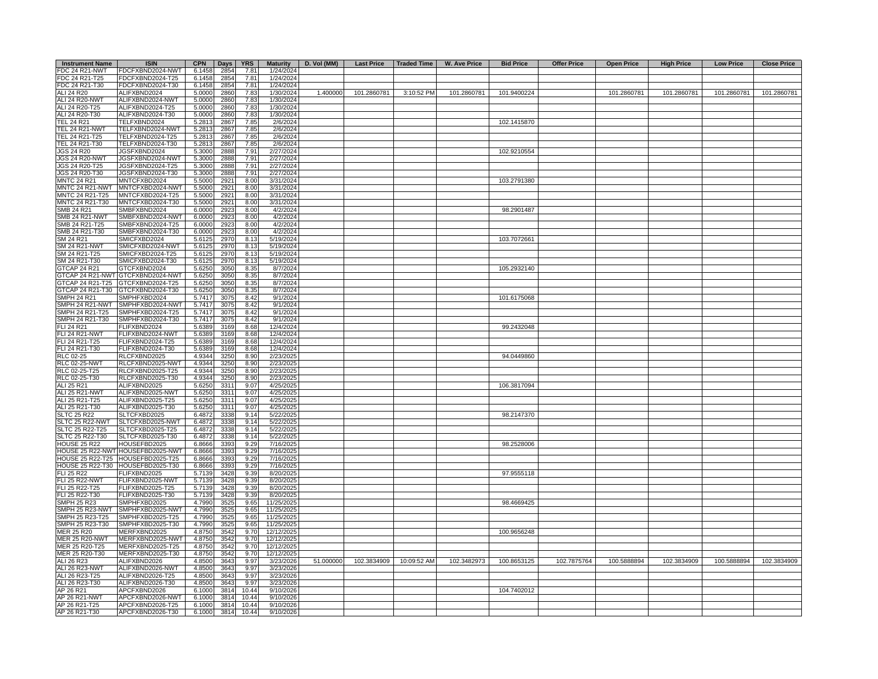| <b>Instrument Name</b> | <b>ISIN</b>                       | <b>CPN</b> | Days | <b>YRS</b> |            | Maturity   D. Vol (MM) |             | Last Price   Traded Time | <b>W. Ave Price</b> | <b>Bid Price</b> | <b>Offer Price</b> | <b>Open Price</b> | <b>High Price</b> | <b>Low Price</b> | <b>Close Price</b> |
|------------------------|-----------------------------------|------------|------|------------|------------|------------------------|-------------|--------------------------|---------------------|------------------|--------------------|-------------------|-------------------|------------------|--------------------|
| <b>FDC 24 R21-NWT</b>  | FDCFXBND2024-NWT                  | 6.1458     | 2854 | 7.81       | 1/24/2024  |                        |             |                          |                     |                  |                    |                   |                   |                  |                    |
| FDC 24 R21-T25         | FDCFXBND2024-T25                  | 6.1458     | 2854 | 7.81       | 1/24/2024  |                        |             |                          |                     |                  |                    |                   |                   |                  |                    |
| FDC 24 R21-T30         | FDCFXBND2024-T30                  | 6.1458     | 2854 | 7.81       | 1/24/2024  |                        |             |                          |                     |                  |                    |                   |                   |                  |                    |
| ALI 24 R20             | ALIFXBND2024                      | 5.0000     | 2860 | 7.83       | 1/30/2024  | 1.400000               | 101.2860781 | 3:10:52 PM               | 101.2860781         | 101.9400224      |                    | 101.2860781       | 101.2860781       | 101.2860781      | 101.2860781        |
| <b>ALI 24 R20-NWT</b>  |                                   |            |      |            |            |                        |             |                          |                     |                  |                    |                   |                   |                  |                    |
|                        | ALIFXBND2024-NWT                  | 5.0000     | 2860 | 7.83       | 1/30/2024  |                        |             |                          |                     |                  |                    |                   |                   |                  |                    |
| ALI 24 R20-T25         | ALIFXBND2024-T25                  | 5.0000     | 2860 | 7.83       | 1/30/2024  |                        |             |                          |                     |                  |                    |                   |                   |                  |                    |
| ALI 24 R20-T30         | ALIFXBND2024-T30                  | 5.0000     | 2860 | 7.83       | 1/30/2024  |                        |             |                          |                     |                  |                    |                   |                   |                  |                    |
| <b>TEL 24 R21</b>      | TELFXBND2024                      | 5.2813     | 2867 | 7.85       | 2/6/2024   |                        |             |                          |                     | 102.1415870      |                    |                   |                   |                  |                    |
| TEL 24 R21-NWT         | TELFXBND2024-NWT                  | 5.2813     | 2867 | 7.85       | 2/6/2024   |                        |             |                          |                     |                  |                    |                   |                   |                  |                    |
| TEL 24 R21-T25         | TELFXBND2024-T25                  | 5.2813     | 2867 | 7.85       | 2/6/2024   |                        |             |                          |                     |                  |                    |                   |                   |                  |                    |
| TEL 24 R21-T30         | TELFXBND2024-T30                  | 5.2813     | 2867 | 7.85       | 2/6/2024   |                        |             |                          |                     |                  |                    |                   |                   |                  |                    |
| JGS 24 R20             | JGSFXBND2024                      | 5.3000     | 2888 | 7.91       | 2/27/2024  |                        |             |                          |                     | 102.9210554      |                    |                   |                   |                  |                    |
| JGS 24 R20-NWT         | JGSFXBND2024-NWT                  | 5.3000     | 2888 | 7.91       | 2/27/2024  |                        |             |                          |                     |                  |                    |                   |                   |                  |                    |
| JGS 24 R20-T25         | JGSFXBND2024-T25                  | 5.3000     | 2888 | 7.91       | 2/27/2024  |                        |             |                          |                     |                  |                    |                   |                   |                  |                    |
|                        |                                   |            |      |            |            |                        |             |                          |                     |                  |                    |                   |                   |                  |                    |
| JGS 24 R20-T30         | JGSFXBND2024-T30                  | 5.3000     | 2888 | 7.91       | 2/27/2024  |                        |             |                          |                     |                  |                    |                   |                   |                  |                    |
| <b>MNTC 24 R21</b>     | MNTCFXBD2024                      | 5.5000     | 2921 | 8.00       | 3/31/2024  |                        |             |                          |                     | 103.2791380      |                    |                   |                   |                  |                    |
| MNTC 24 R21-NWT        | MNTCFXBD2024-NWT                  | 5.5000     | 2921 | 8.00       | 3/31/2024  |                        |             |                          |                     |                  |                    |                   |                   |                  |                    |
| MNTC 24 R21-T25        | MNTCFXBD2024-T25                  | 5.5000     | 2921 | 8.00       | 3/31/2024  |                        |             |                          |                     |                  |                    |                   |                   |                  |                    |
| MNTC 24 R21-T30        | MNTCFXBD2024-T30                  | 5.5000     | 2921 | 8.00       | 3/31/2024  |                        |             |                          |                     |                  |                    |                   |                   |                  |                    |
| SMB 24 R21             | SMBFXBND2024                      | 6.0000     | 2923 | 8.00       | 4/2/2024   |                        |             |                          |                     | 98.2901487       |                    |                   |                   |                  |                    |
| SMB 24 R21-NWT         | SMBFXBND2024-NWT                  |            | 2923 | 8.00       |            |                        |             |                          |                     |                  |                    |                   |                   |                  |                    |
|                        |                                   | 6.0000     |      |            | 4/2/2024   |                        |             |                          |                     |                  |                    |                   |                   |                  |                    |
| SMB 24 R21-T25         | SMBFXBND2024-T25                  | 6.0000     | 2923 | 8.00       | 4/2/2024   |                        |             |                          |                     |                  |                    |                   |                   |                  |                    |
| SMB 24 R21-T30         | SMBFXBND2024-T30                  | 6.0000     | 2923 | 8.00       | 4/2/2024   |                        |             |                          |                     |                  |                    |                   |                   |                  |                    |
| SM 24 R21              | SMICFXBD2024                      | 5.6125     | 2970 | 8.13       | 5/19/2024  |                        |             |                          |                     | 103.7072661      |                    |                   |                   |                  |                    |
| <b>SM 24 R21-NWT</b>   | SMICFXBD2024-NWT                  | 5.6125     | 2970 | 8.13       | 5/19/2024  |                        |             |                          |                     |                  |                    |                   |                   |                  |                    |
| SM 24 R21-T25          | SMICFXBD2024-T25                  | 5.6125     | 2970 | 8.13       | 5/19/2024  |                        |             |                          |                     |                  |                    |                   |                   |                  |                    |
| SM 24 R21-T30          | SMICFXBD2024-T30                  | 5.6125     | 2970 | 8.13       | 5/19/2024  |                        |             |                          |                     |                  |                    |                   |                   |                  |                    |
| <b>GTCAP 24 R21</b>    | GTCFXBND2024                      | 5.6250     | 3050 | 8.35       | 8/7/2024   |                        |             |                          |                     | 105.2932140      |                    |                   |                   |                  |                    |
|                        |                                   |            |      |            |            |                        |             |                          |                     |                  |                    |                   |                   |                  |                    |
|                        | GTCAP 24 R21-NWT GTCFXBND2024-NWT | 5.6250     | 3050 | 8.35       | 8/7/2024   |                        |             |                          |                     |                  |                    |                   |                   |                  |                    |
|                        | GTCAP 24 R21-T25 GTCFXBND2024-T25 | 5.6250     | 3050 | 8.35       | 8/7/2024   |                        |             |                          |                     |                  |                    |                   |                   |                  |                    |
|                        | GTCAP 24 R21-T30 GTCFXBND2024-T30 | 5.6250     | 3050 | 8.35       | 8/7/2024   |                        |             |                          |                     |                  |                    |                   |                   |                  |                    |
| <b>SMPH 24 R21</b>     | SMPHFXBD2024                      | 5.7417     | 3075 | 8.42       | 9/1/2024   |                        |             |                          |                     | 101.6175068      |                    |                   |                   |                  |                    |
|                        | SMPH 24 R21-NWT SMPHFXBD2024-NWT  | 5.7417     | 3075 | 8.42       | 9/1/2024   |                        |             |                          |                     |                  |                    |                   |                   |                  |                    |
| SMPH 24 R21-T25        | SMPHFXBD2024-T25                  | 5.7417     | 3075 | 8.42       | 9/1/2024   |                        |             |                          |                     |                  |                    |                   |                   |                  |                    |
| SMPH 24 R21-T30        | SMPHFXBD2024-T30                  | 5.7417     | 3075 | 8.42       | 9/1/2024   |                        |             |                          |                     |                  |                    |                   |                   |                  |                    |
|                        |                                   |            |      |            |            |                        |             |                          |                     |                  |                    |                   |                   |                  |                    |
| FLI 24 R21             | FLIFXBND2024                      | 5.6389     | 3169 | 8.68       | 12/4/2024  |                        |             |                          |                     | 99.2432048       |                    |                   |                   |                  |                    |
| <b>FLI 24 R21-NWT</b>  | FLIFXBND2024-NWT                  | 5.6389     | 3169 | 8.68       | 12/4/2024  |                        |             |                          |                     |                  |                    |                   |                   |                  |                    |
| FLI 24 R21-T25         | FLIFXBND2024-T25                  | 5.6389     | 3169 | 8.68       | 12/4/2024  |                        |             |                          |                     |                  |                    |                   |                   |                  |                    |
| FLI 24 R21-T30         | FLIFXBND2024-T30                  | 5.6389     | 3169 | 8.68       | 12/4/2024  |                        |             |                          |                     |                  |                    |                   |                   |                  |                    |
| RLC 02-25              | RLCFXBND2025                      | 4.9344     | 3250 | 8.90       | 2/23/2025  |                        |             |                          |                     | 94.0449860       |                    |                   |                   |                  |                    |
| <b>RLC 02-25-NWT</b>   | RLCFXBND2025-NWT                  | 4.9344     | 3250 | 8.90       | 2/23/2025  |                        |             |                          |                     |                  |                    |                   |                   |                  |                    |
| RLC 02-25-T25          | RLCFXBND2025-T25                  | 4.9344     | 3250 | 8.90       | 2/23/2025  |                        |             |                          |                     |                  |                    |                   |                   |                  |                    |
|                        |                                   |            |      |            |            |                        |             |                          |                     |                  |                    |                   |                   |                  |                    |
| RLC 02-25-T30          | RLCFXBND2025-T30                  | 4.9344     | 3250 | 8.90       | 2/23/2025  |                        |             |                          |                     |                  |                    |                   |                   |                  |                    |
| ALI 25 R21             | ALIFXBND2025                      | 5.6250     | 3311 | 9.07       | 4/25/2025  |                        |             |                          |                     | 106.3817094      |                    |                   |                   |                  |                    |
| <b>ALI 25 R21-NWT</b>  | ALIFXBND2025-NWT                  | 5.6250     | 3311 | 9.07       | 4/25/2025  |                        |             |                          |                     |                  |                    |                   |                   |                  |                    |
| ALI 25 R21-T25         | ALIFXBND2025-T25                  | 5.6250     | 3311 | 9.07       | 4/25/2025  |                        |             |                          |                     |                  |                    |                   |                   |                  |                    |
| ALI 25 R21-T30         | ALIFXBND2025-T30                  | 5.6250     | 3311 | 9.07       | 4/25/2025  |                        |             |                          |                     |                  |                    |                   |                   |                  |                    |
| <b>SLTC 25 R22</b>     | SLTCFXBD2025                      | 6.4872     | 3338 | 9.14       | 5/22/2025  |                        |             |                          |                     | 98.2147370       |                    |                   |                   |                  |                    |
| SLTC 25 R22-NWT        | SLTCFXBD2025-NWT                  | 6.4872     | 3338 | 9.14       | 5/22/2025  |                        |             |                          |                     |                  |                    |                   |                   |                  |                    |
| SLTC 25 R22-T25        | SLTCFXBD2025-T25                  |            |      |            |            |                        |             |                          |                     |                  |                    |                   |                   |                  |                    |
|                        |                                   | 6.4872     | 3338 | 9.14       | 5/22/2025  |                        |             |                          |                     |                  |                    |                   |                   |                  |                    |
| SLTC 25 R22-T30        | SLTCFXBD2025-T30                  | 6.4872     | 3338 | 9.14       | 5/22/2025  |                        |             |                          |                     |                  |                    |                   |                   |                  |                    |
| <b>HOUSE 25 R22</b>    | HOUSEFBD2025                      | 6.8666     | 3393 | 9.29       | 7/16/2025  |                        |             |                          |                     | 98.2528006       |                    |                   |                   |                  |                    |
|                        | HOUSE 25 R22-NWT HOUSEFBD2025-NWT | 6.8666     | 3393 | 9.29       | 7/16/2025  |                        |             |                          |                     |                  |                    |                   |                   |                  |                    |
|                        | HOUSE 25 R22-T25 HOUSEFBD2025-T25 | 6.8666     | 3393 | 9.29       | 7/16/2025  |                        |             |                          |                     |                  |                    |                   |                   |                  |                    |
|                        | HOUSE 25 R22-T30 HOUSEFBD2025-T30 | 6.8666     | 3393 | 9.29       | 7/16/2025  |                        |             |                          |                     |                  |                    |                   |                   |                  |                    |
| FLI 25 R22             | FLIFXBND2025                      | 5.7139     | 3428 | 9.39       | 8/20/2025  |                        |             |                          |                     | 97.9555118       |                    |                   |                   |                  |                    |
| <b>FLI 25 R22-NWT</b>  | FLIFXBND2025-NWT                  | 5.7139     | 3428 | 9.39       | 8/20/2025  |                        |             |                          |                     |                  |                    |                   |                   |                  |                    |
|                        |                                   |            |      |            |            |                        |             |                          |                     |                  |                    |                   |                   |                  |                    |
| FLI 25 R22-T25         | FLIFXBND2025-T25                  | 5.7139     | 3428 | 9.39       | 8/20/2025  |                        |             |                          |                     |                  |                    |                   |                   |                  |                    |
| FLI 25 R22-T30         | FLIFXBND2025-T30                  | 5.7139     | 3428 | 9.39       | 8/20/2025  |                        |             |                          |                     |                  |                    |                   |                   |                  |                    |
| <b>SMPH 25 R23</b>     | SMPHFXBD2025                      | 4.7990     | 3525 | 9.65       | 11/25/2025 |                        |             |                          |                     | 98.4669425       |                    |                   |                   |                  |                    |
| SMPH 25 R23-NWT        | SMPHFXBD2025-NWT                  | 4.7990     | 3525 | 9.65       | 11/25/2025 |                        |             |                          |                     |                  |                    |                   |                   |                  |                    |
| SMPH 25 R23-T25        | SMPHFXBD2025-T25                  | 4.7990     | 3525 | 9.65       | 11/25/2025 |                        |             |                          |                     |                  |                    |                   |                   |                  |                    |
| SMPH 25 R23-T30        | SMPHFXBD2025-T30                  | 4.7990     | 3525 | 9.65       | 11/25/2025 |                        |             |                          |                     |                  |                    |                   |                   |                  |                    |
| <b>MER 25 R20</b>      | MERFXBND2025                      | 4.8750     | 3542 | 9.70       | 12/12/2025 |                        |             |                          |                     | 100.9656248      |                    |                   |                   |                  |                    |
|                        |                                   |            |      |            |            |                        |             |                          |                     |                  |                    |                   |                   |                  |                    |
| <b>MER 25 R20-NWT</b>  | MERFXBND2025-NWT                  | 4.8750     | 3542 | 9.70       | 12/12/2025 |                        |             |                          |                     |                  |                    |                   |                   |                  |                    |
| MER 25 R20-T25         | MERFXBND2025-T25                  | 4.8750     | 3542 | 9.70       | 12/12/2025 |                        |             |                          |                     |                  |                    |                   |                   |                  |                    |
| MER 25 R20-T30         | MERFXBND2025-T30                  | 4.8750     | 3542 | 9.70       | 12/12/2025 |                        |             |                          |                     |                  |                    |                   |                   |                  |                    |
| ALI 26 R23             | ALIFXBND2026                      | 4.8500     | 3643 | 9.97       | 3/23/2026  | 51.000000              | 102.3834909 | 10:09:52 AM              | 102.3482973         | 100.8653125      | 102.7875764        | 100.5888894       | 102.3834909       | 100.5888894      | 102.3834909        |
| ALI 26 R23-NWT         | ALIFXBND2026-NWT                  | 4.8500     | 3643 | 9.97       | 3/23/2026  |                        |             |                          |                     |                  |                    |                   |                   |                  |                    |
| ALI 26 R23-T25         | ALIFXBND2026-T25                  | 4.8500     | 3643 | 9.97       | 3/23/2026  |                        |             |                          |                     |                  |                    |                   |                   |                  |                    |
| ALI 26 R23-T30         | ALIFXBND2026-T30                  | 4.8500     | 3643 | 9.97       | 3/23/2026  |                        |             |                          |                     |                  |                    |                   |                   |                  |                    |
| AP 26 R21              | APCFXBND2026                      | 6.1000     | 3814 | 10.44      | 9/10/2026  |                        |             |                          |                     | 104.7402012      |                    |                   |                   |                  |                    |
|                        |                                   |            |      |            |            |                        |             |                          |                     |                  |                    |                   |                   |                  |                    |
| AP 26 R21-NWT          | APCFXBND2026-NWT                  | 6.1000     | 3814 | 10.44      | 9/10/2026  |                        |             |                          |                     |                  |                    |                   |                   |                  |                    |
| AP 26 R21-T25          | APCFXBND2026-T25                  | 6.1000     | 3814 | 10.44      | 9/10/2026  |                        |             |                          |                     |                  |                    |                   |                   |                  |                    |
| AP 26 R21-T30          | APCFXBND2026-T30                  | 6.1000     | 3814 | 10.44      | 9/10/2026  |                        |             |                          |                     |                  |                    |                   |                   |                  |                    |